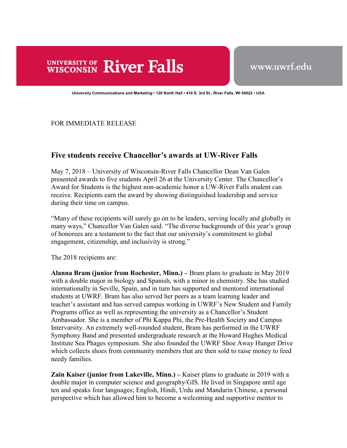## **UNIVERSITY OF River Falls**

www.uwrf.edu

**University Communications and Marketing • 120 North Hall • 410 S. 3rd St., River Falls, WI 54022 • USA** 

FOR IMMEDIATE RELEASE

## **Five students receive Chancellor's awards at UW-River Falls**

May 7, 2018 – University of Wisconsin-River Falls Chancellor Dean Van Galen presented awards to five students April 26 at the University Center. The Chancellor's Award for Students is the highest non-academic honor a UW-River Falls student can receive. Recipients earn the award by showing distinguished leadership and service during their time on campus.

"Many of these recipients will surely go on to be leaders, serving locally and globally in many ways," Chancellor Van Galen said. "The diverse backgrounds of this year's group of honorees are a testament to the fact that our university's commitment to global engagement, citizenship, and inclusivity is strong."

The 2018 recipients are:

**Alanna Bram (junior from Rochester, Minn.) –** Bram plans to graduate in May 2019 with a double major in biology and Spanish, with a minor in chemistry. She has studied internationally in Seville, Spain, and in turn has supported and mentored international students at UWRF. Bram has also served her peers as a team learning leader and teacher's assistant and has served campus working in UWRF's New Student and Family Programs office as well as representing the university as a Chancellor's Student Ambassador. She is a member of Phi Kappa Phi, the Pre-Health Society and Campus Intervarsity. An extremely well-rounded student, Bram has performed in the UWRF Symphony Band and presented undergraduate research at the Howard Hughes Medical Institute Sea Phages symposium. She also founded the UWRF Shoe Away Hunger Drive which collects shoes from community members that are then sold to raise money to feed needy families.

**Zain Kaiser (junior from Lakeville, Minn.) – Kaiser plans to graduate in 2019 with a** double major in computer science and geography/GIS. He lived in Singapore until age ten and speaks four languages; English, Hindi, Urdu and Mandarin Chinese, a personal perspective which has allowed him to become a welcoming and supportive mentor to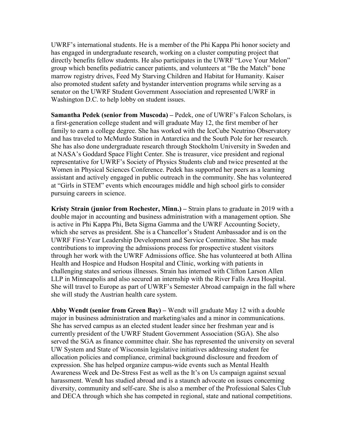UWRF's international students. He is a member of the Phi Kappa Phi honor society and has engaged in undergraduate research, working on a cluster computing project that directly benefits fellow students. He also participates in the UWRF "Love Your Melon" group which benefits pediatric cancer patients, and volunteers at "Be the Match" bone marrow registry drives, Feed My Starving Children and Habitat for Humanity. Kaiser also promoted student safety and bystander intervention programs while serving as a senator on the UWRF Student Government Association and represented UWRF in Washington D.C. to help lobby on student issues.

**Samantha Pedek (senior from Muscoda) –** Pedek, one of UWRF's Falcon Scholars, is a first-generation college student and will graduate May 12, the first member of her family to earn a college degree. She has worked with the IceCube Neutrino Observatory and has traveled to McMurdo Station in Antarctica and the South Pole for her research. She has also done undergraduate research through Stockholm University in Sweden and at NASA's Goddard Space Flight Center. She is treasurer, vice president and regional representative for UWRF's Society of Physics Students club and twice presented at the Women in Physical Sciences Conference. Pedek has supported her peers as a learning assistant and actively engaged in public outreach in the community. She has volunteered at "Girls in STEM" events which encourages middle and high school girls to consider pursuing careers in science.

**Kristy Strain (junior from Rochester, Minn.) –** Strain plans to graduate in 2019 with a double major in accounting and business administration with a management option. She is active in Phi Kappa Phi, Beta Sigma Gamma and the UWRF Accounting Society, which she serves as president. She is a Chancellor's Student Ambassador and is on the UWRF First-Year Leadership Development and Service Committee. She has made contributions to improving the admissions process for prospective student visitors through her work with the UWRF Admissions office. She has volunteered at both Allina Health and Hospice and Hudson Hospital and Clinic, working with patients in challenging states and serious illnesses. Strain has interned with Clifton Larson Allen LLP in Minneapolis and also secured an internship with the River Falls Area Hospital. She will travel to Europe as part of UWRF's Semester Abroad campaign in the fall where she will study the Austrian health care system.

**Abby Wendt (senior from Green Bay) –** Wendt will graduate May 12 with a double major in business administration and marketing/sales and a minor in communications. She has served campus as an elected student leader since her freshman year and is currently president of the UWRF Student Government Association (SGA). She also served the SGA as finance committee chair. She has represented the university on several UW System and State of Wisconsin legislative initiatives addressing student fee allocation policies and compliance, criminal background disclosure and freedom of expression. She has helped organize campus-wide events such as Mental Health Awareness Week and De-Stress Fest as well as the It's on Us campaign against sexual harassment. Wendt has studied abroad and is a staunch advocate on issues concerning diversity, community and self-care. She is also a member of the Professional Sales Club and DECA through which she has competed in regional, state and national competitions.